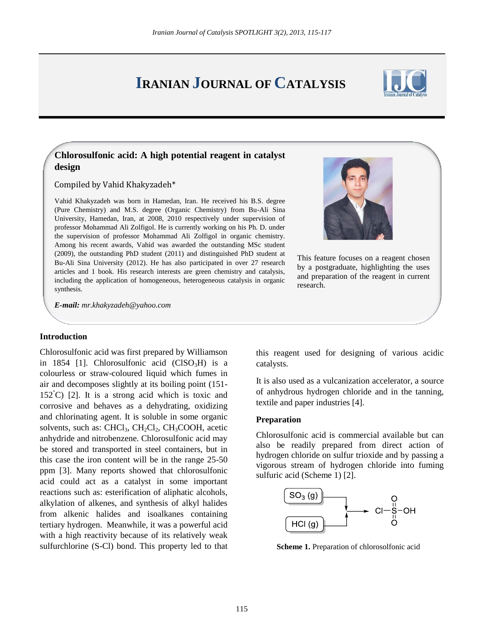# **IRANIAN JOURNAL OF CATALYSIS**



## **Chlorosulfonic acid: A high potential reagent in catalyst design**

Compiled by Vahid Khakyzadeh\*

Vahid Khakyzadeh was born in Hamedan, Iran. He received his B.S. degree (Pure Chemistry) and M.S. degree (Organic Chemistry) from Bu-Ali Sina University, Hamedan, Iran, at 2008, 2010 respectively under supervision of professor Mohammad Ali Zolfigol. He is currently working on his Ph. D. under the supervision of professor Mohammad Ali Zolfigol in organic chemistry. Among his recent awards, Vahid was awarded the outstanding MSc student (2009), the outstanding PhD student (2011) and distinguished PhD student at Bu-Ali Sina University (2012). He has also participated in over 27 research articles and 1 book. His research interests are green chemistry and catalysis, including the application of homogeneous, heterogeneous catalysis in organic synthesis.



This feature focuses on a reagent chosen by a postgraduate, highlighting the uses and preparation of the reagent in current research.

*E-mail: [mr.khakyzadeh@yahoo.com](mailto:mr.khakyzadeh@yahoo.com)*

### **Introduction**

Chlorosulfonic acid was first prepared by Williamson in 1854 [1]. Chlorosulfonic acid  $(CISO<sub>3</sub>H)$  is a colourless or straw-coloured liquid which fumes in air and decomposes slightly at its boiling point (151-  $152^{\circ}$ C) [2]. It is a strong acid which is toxic and corrosive and behaves as a dehydrating, oxidizing and chlorinating agent. It is soluble in some organic solvents, such as: CHCl<sub>3</sub>, CH<sub>2</sub>Cl<sub>2</sub>, CH<sub>3</sub>COOH, acetic anhydride and nitrobenzene. Chlorosulfonic acid may be stored and transported in steel containers, but in this case the iron content will be in the range 25-50 ppm [3]. Many reports showed that chlorosulfonic acid could act as a catalyst in some important reactions such as: esterification of aliphatic alcohols, alkylation of alkenes, and synthesis of alkyl halides from alkenic halides and isoalkanes containing tertiary hydrogen. Meanwhile, it was a powerful acid with a high reactivity because of its relatively weak sulfurchlorine (S-Cl) bond. This property led to that

this reagent used for designing of various acidic catalysts.

It is also used as a vulcanization accelerator, a source of anhydrous hydrogen chloride and in the tanning, textile and paper industries [4].

#### **Preparation**

Chlorosulfonic acid is commercial available but can also be readily prepared from direct action of hydrogen chloride on sulfur trioxide and by passing a vigorous stream of hydrogen chloride into fuming sulfuric acid (Scheme 1) [2].



**Scheme 1.** Preparation of chlorosolfonic acid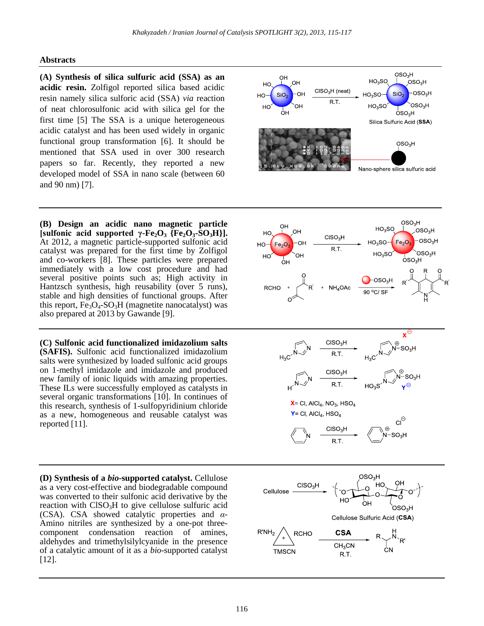## **Abstracts**

**(A) Synthesis of silica sulfuric acid (SSA) as an acidic resin.** Zolfigol reported silica based acidic resin namely silica sulforic acid (SSA) *via* reaction of neat chlorosulfonic acid with silica gel for the first time [5] The SSA is a unique heterogeneous acidic catalyst and has been used widely in organic functional group transformation [6]. It should be mentioned that SSA used in over 300 research papers so far. Recently, they reported a new developed model of SSA in nano scale (between 60 and 90 nm) [7].

**(B) Design an acidic nano magnetic particle**   $[sulfonic acid supported \gamma-Fe<sub>2</sub>O<sub>3</sub> {Fe<sub>2</sub>O<sub>3</sub>-SO<sub>3</sub>H}].$ At 2012, a magnetic particle-supported sulfonic acid catalyst was prepared for the first time by Zolfigol and co-workers [8]. These particles were prepared immediately with a low cost procedure and had several positive points such as; High activity in Hantzsch synthesis, high reusability (over 5 runs), stable and high densities of functional groups. After this report,  $Fe<sub>3</sub>O<sub>4</sub>-SO<sub>3</sub>H$  (magnetite nanocatalyst) was also prepared at 2013 by Gawande [9].

**(C) Sulfonic acid functionalized imidazolium salts (SAFIS).** Sulfonic acid functionalized imidazolium salts were synthesized by loaded sulfonic acid groups on 1-methyl imidazole and imidazole and produced new family of ionic liquids with amazing properties. These ILs were successfully employed as catalysts in several organic transformations [10]. In continues of this research, synthesis of 1-sulfopyridinium chloride as a new, homogeneous and reusable catalyst was reported [11].

**(D) Synthesis of a** *bio***-supported catalyst.** Cellulose as a very cost-effective and biodegradable compound was converted to their sulfonic acid derivative by the reaction with  $CISO<sub>3</sub>H$  to give cellulose sulfuric acid (CSA). CSA showed catalytic properties and *α*-Amino nitriles are synthesized by a one-pot threecomponent condensation reaction of amines, aldehydes and trimethylsilylcyanide in the presence of a catalytic amount of it as a *bio*-supported catalyst [12].